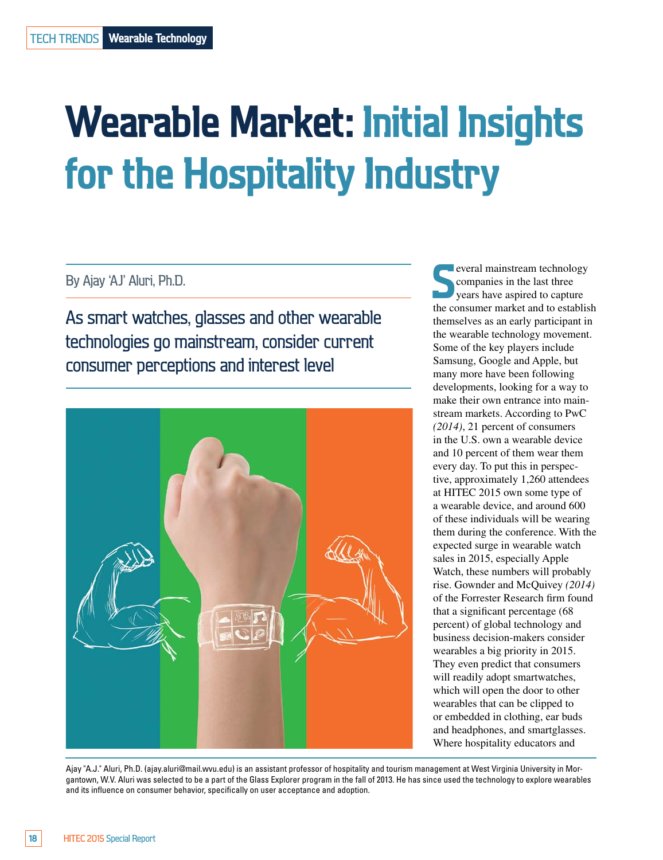# **Wearable Market: Initial Insights for the Hospitality Industry**

By Ajay 'AJ' Aluri, Ph.D.

As smart watches, glasses and other wearable technologies go mainstream, consider current consumer perceptions and interest level



**S**<br>
several mainstream technology<br>
severals in the last three<br>
the consumer market and to establish everal mainstream technology companies in the last three years have aspired to capture themselves as an early participant in the wearable technology movement. Some of the key players include Samsung, Google and Apple, but many more have been following developments, looking for a way to make their own entrance into mainstream markets. According to PwC *(2014)*, 21 percent of consumers in the U.S. own a wearable device and 10 percent of them wear them every day. To put this in perspective, approximately 1,260 attendees at HITEC 2015 own some type of a wearable device, and around 600 of these individuals will be wearing them during the conference. With the expected surge in wearable watch sales in 2015, especially Apple Watch, these numbers will probably rise. Gownder and McQuivey *(2014)* of the Forrester Research firm found that a significant percentage (68 percent) of global technology and business decision-makers consider wearables a big priority in 2015. They even predict that consumers will readily adopt smartwatches, which will open the door to other wearables that can be clipped to or embedded in clothing, ear buds and headphones, and smartglasses. Where hospitality educators and

Ajay "A.J." Aluri, Ph.D. ([ajay.aluri@mail.wvu.edu\) is](mailto:ajay.aluri@mail.wvu.edu) an assistant professor of hospitality and tourism management at West Virginia University in Morgantown, W.V. Aluri was selected to be a part of the Glass Explorer program in the fall of 2013. He has since used the technology to explore wearables and its influence on consumer behavior, specifically on user acceptance and adoption.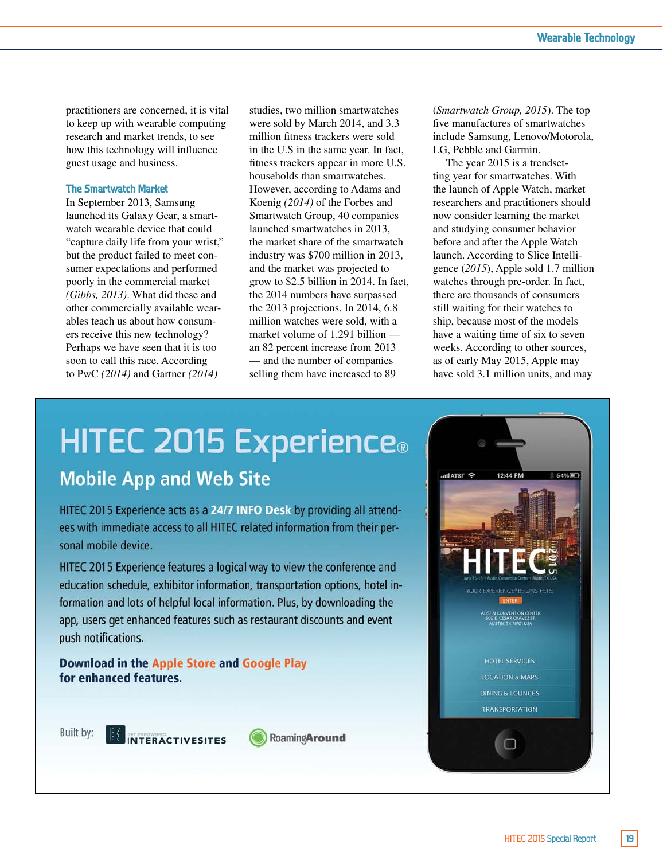practitioners are concerned, it is vital to keep up with wearable computing research and market trends, to see how this technology will influence guest usage and business.

#### **The Smartwatch Market**

In September 2013, Samsung launched its Galaxy Gear, a smartwatch wearable device that could "capture daily life from your wrist," but the product failed to meet consumer expectations and performed poorly in the commercial market *(Gibbs, 2013)*. What did these and other commercially available wearables teach us about how consumers receive this new technology? Perhaps we have seen that it is too soon to call this race. According to PwC *(2014)* and Gartner *(2014)* 

studies, two million smartwatches were sold by March 2014, and 3.3 million fitness trackers were sold in the U.S in the same year. In fact, fitness trackers appear in more U.S. households than smartwatches. However, according to Adams and Koenig *(2014)* of the Forbes and Smartwatch Group, 40 companies launched smartwatches in 2013, the market share of the smartwatch industry was \$700 million in 2013, and the market was projected to grow to \$2.5 billion in 2014. In fact, the 2014 numbers have surpassed the 2013 projections. In 2014, 6.8 million watches were sold, with a market volume of 1.291 billion an 82 percent increase from 2013 — and the number of companies selling them have increased to 89

(*Smartwatch Group, 2015*). The top five manufactures of smartwatches include Samsung, Lenovo/Motorola, LG, Pebble and Garmin.

The year 2015 is a trendsetting year for smartwatches. With the launch of Apple Watch, market researchers and practitioners should now consider learning the market and studying consumer behavior before and after the Apple Watch launch. According to Slice Intelligence (*2015*), Apple sold 1.7 million watches through pre-order. In fact, there are thousands of consumers still waiting for their watches to ship, because most of the models have a waiting time of six to seven weeks. According to other sources, as of early May 2015, Apple may have sold 3.1 million units, and may

## **HITEC 2015 Experience**® **Mobile App and Web Site**

HITEC 2015 Experience acts as a 24/7 INFO Desk by providing all attendees with immediate access to all HITEC related information from their personal mobile device.

HITEC 2015 Experience features a logical way to view the conference and education schedule, exhibitor information, transportation options, hotel information and lots of helpful local information. Plus, by downloading the app, users get enhanced features such as restaurant discounts and event push notifications.

Download in the Apple Store and Google Play for enhanced features.



IN INTERACTIVESITES



RoamingAround

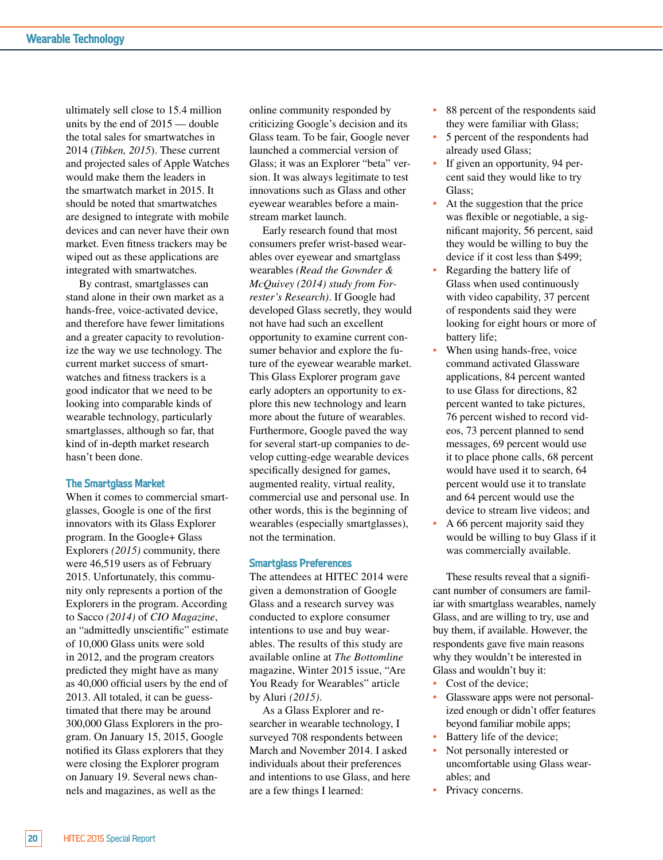ultimately sell close to 15.4 million units by the end of 2015 — double the total sales for smartwatches in 2014 (*Tibken, 2015*). These current and projected sales of Apple Watches would make them the leaders in the smartwatch market in 2015. It should be noted that smartwatches are designed to integrate with mobile devices and can never have their own market. Even fitness trackers may be wiped out as these applications are integrated with smartwatches.

By contrast, smartglasses can stand alone in their own market as a hands-free, voice-activated device, and therefore have fewer limitations and a greater capacity to revolutionize the way we use technology. The current market success of smartwatches and fitness trackers is a good indicator that we need to be looking into comparable kinds of wearable technology, particularly smartglasses, although so far, that kind of in-depth market research hasn't been done.

#### **The Smartglass Market**

When it comes to commercial smartglasses, Google is one of the first innovators with its Glass Explorer program. In the Google+ Glass Explorers *(2015)* community, there were 46,519 users as of February 2015. Unfortunately, this community only represents a portion of the Explorers in the program. According to Sacco *(2014)* of *CIO Magazine*, an "admittedly unscientific" estimate of 10,000 Glass units were sold in 2012, and the program creators predicted they might have as many as 40,000 official users by the end of 2013. All totaled, it can be guesstimated that there may be around 300,000 Glass Explorers in the program. On January 15, 2015, Google notified its Glass explorers that they were closing the Explorer program on January 19. Several news channels and magazines, as well as the

online community responded by criticizing Google's decision and its Glass team. To be fair, Google never launched a commercial version of Glass; it was an Explorer "beta" version. It was always legitimate to test innovations such as Glass and other eyewear wearables before a mainstream market launch.

Early research found that most consumers prefer wrist-based wearables over eyewear and smartglass wearables *(Read the Gownder & McQuivey (2014) study from Forrester's Research)*. If Google had developed Glass secretly, they would not have had such an excellent opportunity to examine current consumer behavior and explore the future of the eyewear wearable market. This Glass Explorer program gave early adopters an opportunity to explore this new technology and learn more about the future of wearables. Furthermore, Google paved the way for several start-up companies to develop cutting-edge wearable devices specifically designed for games, augmented reality, virtual reality, commercial use and personal use. In other words, this is the beginning of wearables (especially smartglasses), not the termination.

#### **Smartglass Preferences**

The attendees at HITEC 2014 were given a demonstration of Google Glass and a research survey was conducted to explore consumer intentions to use and buy wearables. The results of this study are available online at *The Bottomline*  magazine, Winter 2015 issue, "Are You Ready for Wearables" article by Aluri *(2015)*.

As a Glass Explorer and researcher in wearable technology, I surveyed 708 respondents between March and November 2014. I asked individuals about their preferences and intentions to use Glass, and here are a few things I learned:

- 88 percent of the respondents said they were familiar with Glass;
- 5 percent of the respondents had already used Glass;
- If given an opportunity, 94 percent said they would like to try Glass;
- At the suggestion that the price was flexible or negotiable, a significant majority, 56 percent, said they would be willing to buy the device if it cost less than \$499;
- Regarding the battery life of Glass when used continuously with video capability, 37 percent of respondents said they were looking for eight hours or more of battery life;
- When using hands-free, voice command activated Glassware applications, 84 percent wanted to use Glass for directions, 82 percent wanted to take pictures, 76 percent wished to record videos, 73 percent planned to send messages, 69 percent would use it to place phone calls, 68 percent would have used it to search, 64 percent would use it to translate and 64 percent would use the device to stream live videos; and
- A 66 percent majority said they would be willing to buy Glass if it was commercially available.

These results reveal that a significant number of consumers are familiar with smartglass wearables, namely Glass, and are willing to try, use and buy them, if available. However, the respondents gave five main reasons why they wouldn't be interested in Glass and wouldn't buy it:

- Cost of the device;
- Glassware apps were not personalized enough or didn't offer features beyond familiar mobile apps;
- Battery life of the device;
- Not personally interested or uncomfortable using Glass wearables; and
- Privacy concerns.